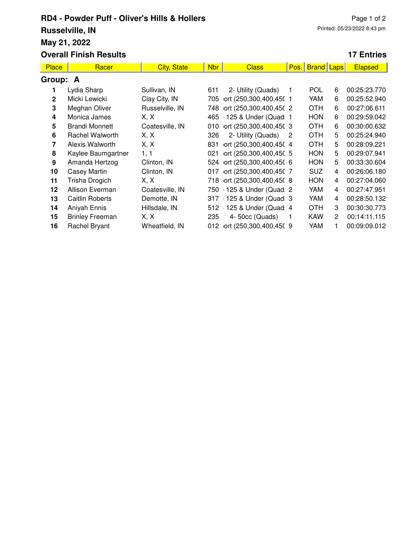## **RD4 - Powder Puff - Oliver's Hills & Hollers Russelville, IN May 21, 2022 Overall Finish Results**

## **17 Entries**

| <b>Place</b>   | Racer                  | <b>City, State</b> | Nbr | <b>Class</b>               | Pos.           | <b>Brand Laps</b> |                | <b>Elapsed</b> |  |  |
|----------------|------------------------|--------------------|-----|----------------------------|----------------|-------------------|----------------|----------------|--|--|
| Group: A       |                        |                    |     |                            |                |                   |                |                |  |  |
|                | Lydia Sharp            | Sullivan, IN       | 611 | 2- Utility (Quads)         |                | <b>POL</b>        | 6              | 00:25:23.770   |  |  |
| $\overline{2}$ | Micki Lewicki          | Clay City, IN      | 705 | ort (250,300,400,450 1     |                | YAM               | 6              | 00:25:52.940   |  |  |
| 3              | Meghan Oliver          | Russelville, IN    | 748 | ort (250,300,400,450 2     |                | <b>OTH</b>        | 6              | 00:27:06.611   |  |  |
| 4              | Monica James           | X. X               | 465 | $-125$ & Under (Quad 1     |                | <b>HON</b>        | 6              | 00:29:59.042   |  |  |
| 5              | <b>Brandi Monnett</b>  | Coatesville, IN    | 010 | ort (250,300,400,450 3     |                | <b>OTH</b>        | 6              | 00:30:00.632   |  |  |
| 6              | <b>Rachel Walworth</b> | X, X               | 326 | 2- Utility (Quads)         | $\overline{2}$ | <b>OTH</b>        | 5              | 00:25:24.940   |  |  |
| 7              | Alexis Walworth        | X, X               | 831 | ort (250,300,400,450 4     |                | <b>OTH</b>        | 5              | 00:28:09.221   |  |  |
| 8              | Kaylee Baumgartner     | 1, 1               | 021 | ort (250,300,400,450 5     |                | <b>HON</b>        | 5              | 00:29:07.941   |  |  |
| 9              | Amanda Hertzog         | Clinton, IN        |     | 524 ort (250,300,400,450 6 |                | <b>HON</b>        | 5              | 00:33:30.604   |  |  |
| 10             | Casey Martin           | Clinton, IN        | 017 | ort (250,300,400,450 7     |                | <b>SUZ</b>        | 4              | 00:26:06.180   |  |  |
| 11             | Trisha Drogich         | X, X               |     | 718 ort (250,300,400,450 8 |                | <b>HON</b>        | 4              | 00:27:04.060   |  |  |
| 12             | Allison Everman        | Coatesville, IN    |     | 750 125 & Under (Quad 2    |                | YAM               | 4              | 00:27:47.951   |  |  |
| 13             | <b>Caitlin Roberts</b> | Demotte, IN        |     | 317 125 & Under (Quad: 3   |                | YAM               | 4              | 00:28:50.132   |  |  |
| 14             | Aniyah Ennis           | Hillsdale, IN      |     | 512 125 & Under (Quad 4    |                | <b>OTH</b>        | 3              | 00:30:30.773   |  |  |
| 15             | <b>Brinley Freeman</b> | X, X               | 235 | 4-50cc (Quads)             | -1             | <b>KAW</b>        | $\overline{2}$ | 00:14:11.115   |  |  |
| 16             | Rachel Bryant          | Wheatfield, IN     |     | 012 ort (250,300,400,450 9 |                | YAM               |                | 00:09:09.012   |  |  |